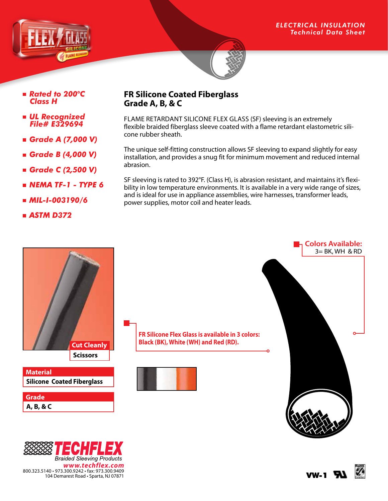

- *Rated to 200*°*C Class H*
- *UL Recognized File# E329694*
- *Grade A (7,000 V)*
- *Grade B (4,000 V)*
- *Grade C (2,500 V)*
- *NEMA TF-1 TYPE 6*

*www.techflex.com*

800.323.5140 • 973.300.9242 • fax: 973.300.9409 104 Demarest Road • Sparta, NJ 07871

- *MIL-I-003190/6*
- *ASTM D372*

## **FR Silicone Coated Fiberglass Grade A, B, & C**

FLAME RETARDANT SILICONE FLEX GLASS (SF) sleeving is an extremely flexible braided fiberglass sleeve coated with a flame retardant elastometric silicone rubber sheath.

The unique self-fitting construction allows SF sleeving to expand slightly for easy installation, and provides a snug fit for minimum movement and reduced internal abrasion.

SF sleeving is rated to 392°F. (Class H), is abrasion resistant, and maintains it's flexibility in low temperature environments. It is available in a very wide range of sizes, and is ideal for use in appliance assemblies, wire harnesses, transformer leads, power supplies, motor coil and heater leads.